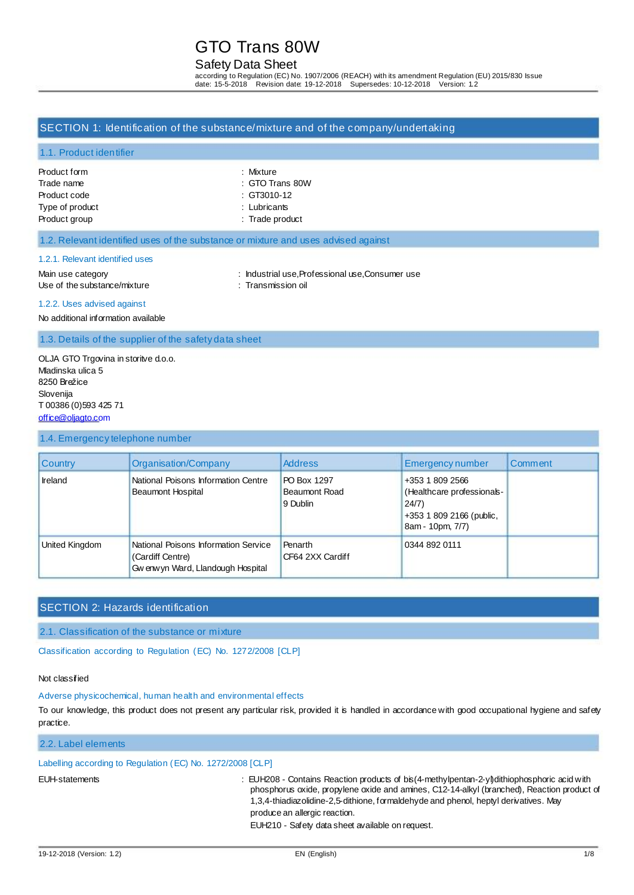## Safety Data Sheet

according to Regulation (EC) No. 1907/2006 (REACH) with its amendment Regulation (EU) 2015/830 Issue date: 15-5-2018 Revision date: 19-12-2018 Supersedes: 10-12-2018 Version: 1.2

## SECTION 1: Identification of the substance/mixture and of the company/undertaking

### 1.1. Product identifier

| Product form    | : Mixture                  |
|-----------------|----------------------------|
| Trade name      | $\therefore$ GTO Trans 80W |
| Product code    | $\therefore$ GT3010-12     |
| Type of product | $:$ Lubricants             |
| Product group   | : Trade product            |

### 1.2. Relevant identified uses of the substance or mixture and uses advised against

#### 1.2.1. Relevant identified uses

Main use category **industrial use, Professional use, Consumer use** : Industrial use, Professional use, Consumer use Use of the substance/mixture : Transmission oil

#### 1.2.2. Uses advised against

No additional information available

## 1.3. Details of the supplier of the safety data sheet

OLJA GTO Trgovina in storitve d.o.o. Mladinska ulica 5 8250 Brežice Slovenija T 00386 (0)593 425 71 [office@oljagto.com](mailto:office@oljagto.com)

#### 1.4. Emergency telephone number

| <b>Country</b> | Organisation/Company                                                                           | <b>Address</b>                                  | <b>Emergency number</b>                                                                                | Comment |
|----------------|------------------------------------------------------------------------------------------------|-------------------------------------------------|--------------------------------------------------------------------------------------------------------|---------|
| Ireland        | National Poisons Information Centre<br>Beaumont Hospital                                       | PO Box 1297<br><b>Beaumont Road</b><br>9 Dublin | +353 1 809 2566<br>(Healthcare professionals-<br>24/7)<br>+353 1 809 2166 (public,<br>8am - 10pm, 7/7) |         |
| United Kingdom | National Poisons Information Service<br>(Cardiff Centre)<br>Gw enw yn Ward, Llandough Hospital | Penarth<br>CF64 2XX Cardiff                     | 0344 892 0111                                                                                          |         |

## SECTION 2: Hazards identification

### 2.1. Classification of the substance or mixture

Classification according to Regulation (EC) No. 1272/2008 [CLP]

### Not classified

### Adverse physicochemical, human health and environmental effects

To our knowledge, this product does not present any particular risk, provided it is handled in accordance with good occupational hygiene and safety practice.

## 2.2. Label elements

## Labelling according to Regulation (EC) No. 1272/2008 [CLP]

EUH-statements : EUH208 - Contains Reaction products of bis(4-methylpentan-2-yl)dithiophosphoric acid with phosphorus oxide, propylene oxide and amines, C12-14-alkyl (branched), Reaction product of 1,3,4-thiadiazolidine-2,5-dithione, formaldehyde and phenol, heptyl derivatives. May produce an allergic reaction.

EUH210 - Safety data sheet available on request.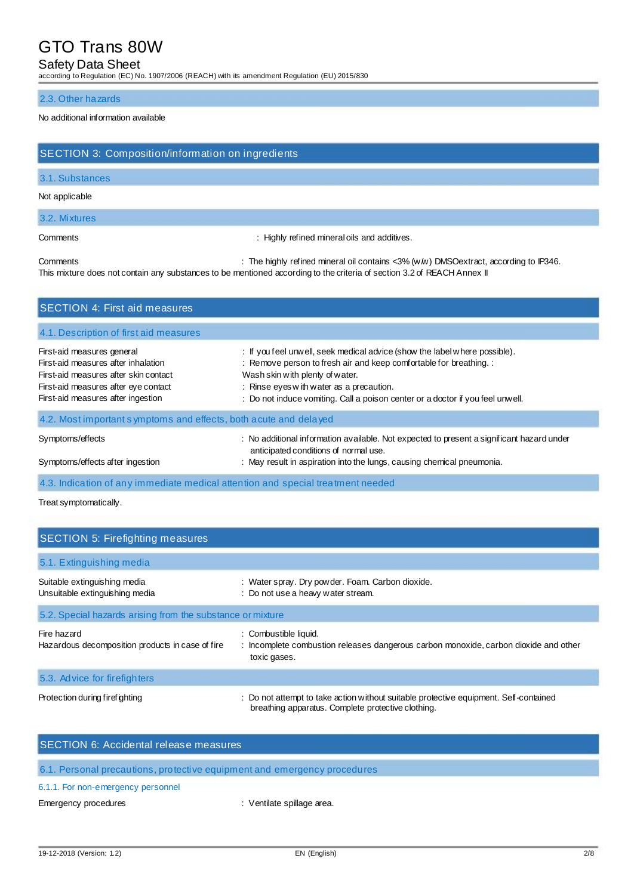## Safety Data Sheet

according to Regulation (EC) No. 1907/2006 (REACH) with its amendment Regulation (EU) 2015/830

### 2.3. Other hazards

### No additional information available

| SECTION 3: Composition/information on ingredients                                                                                                                                        |                                                                                                                                                                                                                                                                                                                   |  |
|------------------------------------------------------------------------------------------------------------------------------------------------------------------------------------------|-------------------------------------------------------------------------------------------------------------------------------------------------------------------------------------------------------------------------------------------------------------------------------------------------------------------|--|
| 3.1. Substances                                                                                                                                                                          |                                                                                                                                                                                                                                                                                                                   |  |
| Not applicable                                                                                                                                                                           |                                                                                                                                                                                                                                                                                                                   |  |
| 3.2. Mixtures                                                                                                                                                                            |                                                                                                                                                                                                                                                                                                                   |  |
| Comments                                                                                                                                                                                 | : Highly refined mineral oils and additives.                                                                                                                                                                                                                                                                      |  |
| Comments                                                                                                                                                                                 | : The highly refined mineral oil contains $<$ 3% (ww) DMSO extract, according to IP346.<br>This mixture does not contain any substances to be mentioned according to the criteria of section 3.2 of REACH Annex II                                                                                                |  |
| <b>SECTION 4: First aid measures</b>                                                                                                                                                     |                                                                                                                                                                                                                                                                                                                   |  |
| 4.1. Description of first aid measures                                                                                                                                                   |                                                                                                                                                                                                                                                                                                                   |  |
| First-aid measures general<br>First-aid measures after inhalation<br>First-aid measures after skin contact<br>First-aid measures after eye contact<br>First-aid measures after ingestion | : If you feel unwell, seek medical advice (show the label where possible).<br>: Remove person to fresh air and keep comfortable for breathing. :<br>Wash skin with plenty of water.<br>: Rinse eyes with water as a precaution.<br>: Do not induce vomiting. Call a poison center or a doctor if you feel unwell. |  |
| 4.2. Most important symptoms and effects, both acute and delayed                                                                                                                         |                                                                                                                                                                                                                                                                                                                   |  |
| Symptoms/effects<br>Symptoms/effects after ingestion                                                                                                                                     | : No additional information available. Not expected to present a significant hazard under<br>anticipated conditions of normal use.<br>: May result in aspiration into the lungs, causing chemical pneumonia.                                                                                                      |  |

4.3. Indication of any immediate medical attention and special treatment needed

Treat symptomatically.

| <b>SECTION 5: Firefighting measures</b>                         |                                                                                                                                             |
|-----------------------------------------------------------------|---------------------------------------------------------------------------------------------------------------------------------------------|
| 5.1. Extinguishing media                                        |                                                                                                                                             |
| Suitable extinguishing media<br>Unsuitable extinguishing media  | : Water spray. Dry powder. Foam. Carbon dioxide.<br>: Do not use a heavy water stream.                                                      |
| 5.2. Special hazards arising from the substance or mixture      |                                                                                                                                             |
| Fire hazard<br>Hazardous decomposition products in case of fire | : Combustible liquid.<br>: Incomplete combustion releases dangerous carbon monoxide, carbon dioxide and other<br>toxic gases.               |
| 5.3. Advice for fire fighters                                   |                                                                                                                                             |
| Protection during firefighting                                  | : Do not attempt to take action without suitable protective equipment. Self-contained<br>breathing apparatus. Complete protective clothing. |

| SECTION 6: Accidental release measures                                   |
|--------------------------------------------------------------------------|
| 6.1. Personal precautions, protective equipment and emergency procedures |
| 6.1.1. For non-emergency personnel                                       |

Emergency procedures **in the set of the Control of the Control of Control of the Control of Control of Control of Control of Control of Control of Control of Control of Control of Control of Control of Control of Control o**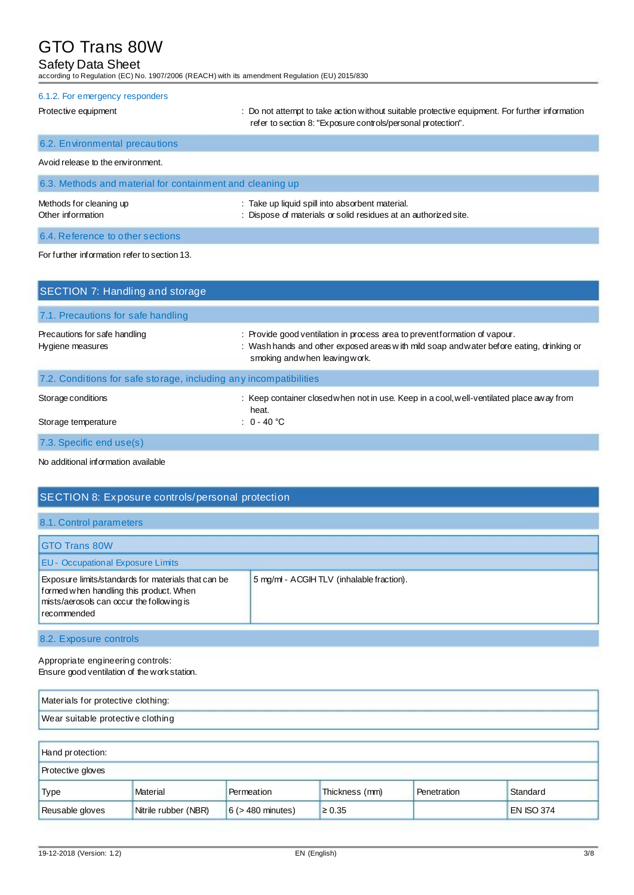## Safety Data Sheet

according to Regulation (EC) No. 1907/2006 (REACH) with its amendment Regulation (EU) 2015/830

| 6.1.2. For emergency responders                                                                                                                                    |                                                                                                                                                                |  |  |  |
|--------------------------------------------------------------------------------------------------------------------------------------------------------------------|----------------------------------------------------------------------------------------------------------------------------------------------------------------|--|--|--|
| Protective equipment                                                                                                                                               | : Do not attempt to take action without suitable protective equipment. For further information<br>refer to section 8: "Exposure controls/personal protection". |  |  |  |
| 6.2. Environmental precautions                                                                                                                                     |                                                                                                                                                                |  |  |  |
| Avoid release to the environment.                                                                                                                                  |                                                                                                                                                                |  |  |  |
| 6.3. Methods and material for containment and cleaning up                                                                                                          |                                                                                                                                                                |  |  |  |
| Methods for cleaning up<br>: Take up liquid spill into absorbent material.<br>: Dispose of materials or solid residues at an authorized site.<br>Other information |                                                                                                                                                                |  |  |  |
| 6.4. Reference to other sections                                                                                                                                   |                                                                                                                                                                |  |  |  |

### For further information refer to section 13.

| SECTION 7: Handling and storage                                   |                                                                                                                                                                                                         |
|-------------------------------------------------------------------|---------------------------------------------------------------------------------------------------------------------------------------------------------------------------------------------------------|
| 7.1. Precautions for safe handling                                |                                                                                                                                                                                                         |
| Precautions for safe handling<br>Hygiene measures                 | : Provide good ventilation in process area to preventformation of vapour.<br>: Wash hands and other exposed areas with mild soap and water before eating, drinking or<br>smoking and when leaving work. |
| 7.2. Conditions for safe storage, including any incompatibilities |                                                                                                                                                                                                         |
| Storage conditions<br>Storage temperature                         | : Keep container closed when not in use. Keep in a cool, well-ventilated place away from<br>heat.<br>: $0 - 40$ °C                                                                                      |
| 7.3. Specific end use(s)                                          |                                                                                                                                                                                                         |

No additional information available

## SECTION 8: Exposure controls/personal protection 8.1. Control parameters GTO Trans 80W EU - Occupational Exposure Limits Exposure limits/standards for materials that can be 5 mg/ml - ACGIH TLV (inhalable fraction). formed when handling this product. When mists/aerosols can occur the following is recommended 8.2. Exposure controls

Appropriate engineering controls: Ensure good ventilation of the work station.

| Materials for protective clothing: |  |
|------------------------------------|--|
| Wear suitable protective clothing  |  |
|                                    |  |
| Hand protection:                   |  |
| <b>Protective gloves</b>           |  |

| <b>Type</b>     | Material             | Permeation             | Thickness (mm) | <sup>1</sup> Penetration | Standard   |
|-----------------|----------------------|------------------------|----------------|--------------------------|------------|
| Reusable gloves | Nitrile rubber (NBR) | $6$ ( $>$ 480 minutes) | $\geq 0.35$    |                          | EN ISO 374 |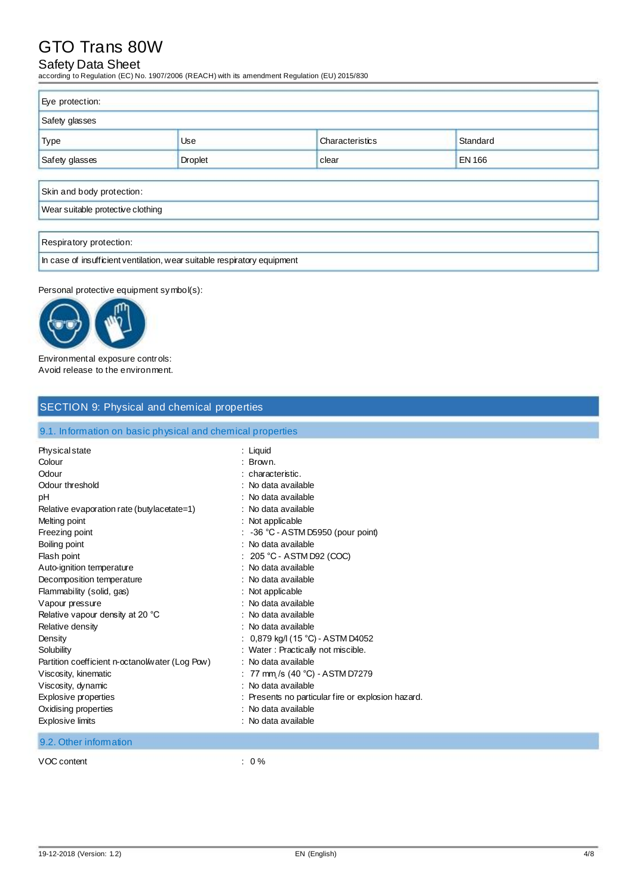## Safety Data Sheet

according to Regulation (EC) No. 1907/2006 (REACH) with its amendment Regulation (EU) 2015/830

| Eye protection:                                            |  |  |  |
|------------------------------------------------------------|--|--|--|
| Safety glasses                                             |  |  |  |
| <b>Type</b><br>Standard<br>Characteristics<br>Use          |  |  |  |
| Safety glasses<br><b>Droplet</b><br><b>EN 166</b><br>clear |  |  |  |
|                                                            |  |  |  |
| Skin and body protection:                                  |  |  |  |
| Wear suitable protective clothing                          |  |  |  |
|                                                            |  |  |  |
| Respiratory protection:                                    |  |  |  |

In case of insufficient ventilation, wear suitable respiratory equipment

Personal protective equipment symbol(s):



Environmental exposure controls: Avoid release to the environment.

| <b>SECTION 9: Physical and chemical properties</b>                                                                                                                                                                                                                                                                                                       |                                                                                                                                                                                                                                                                                                                                                                                                                |  |
|----------------------------------------------------------------------------------------------------------------------------------------------------------------------------------------------------------------------------------------------------------------------------------------------------------------------------------------------------------|----------------------------------------------------------------------------------------------------------------------------------------------------------------------------------------------------------------------------------------------------------------------------------------------------------------------------------------------------------------------------------------------------------------|--|
| 9.1. Information on basic physical and chemical properties                                                                                                                                                                                                                                                                                               |                                                                                                                                                                                                                                                                                                                                                                                                                |  |
| Physical state<br>Colour<br>Odour<br>Odour threshold<br>рH<br>Relative evaporation rate (butylacetate=1)<br>Melting point<br>Freezing point<br>Boiling point<br>Flash point<br>Auto-ignition temperature<br>Decomposition temperature<br>Flammability (solid, gas)<br>Vapour pressure<br>Relative vapour density at 20 °C<br>Relative density<br>Density | : Liquid<br>: Brown.<br>: characteristic.<br>: No data available<br>: No data available<br>: No data available<br>: Not applicable<br>$: -36$ °C - ASTM D5950 (pour point)<br>: No data available<br>$: 205 °C - ASTM D92 (COC)$<br>: No data available<br>: No data available<br>: Not applicable<br>: No data available<br>: No data available<br>: No data available<br>: $0,879$ kg/l (15 °C) - ASTM D4052 |  |
| Solubility<br>Partition coefficient n-octanol/water (Log Pow)<br>Viscosity, kinematic<br>Viscosity, dynamic<br><b>Explosive properties</b><br>Oxidising properties<br><b>Explosive limits</b>                                                                                                                                                            | : Water : Practically not miscible.<br>: No data available<br>: 77 mm /s (40 °C) - ASTM D7279<br>: No data available<br>: Presents no particular fire or explosion hazard.<br>: No data available<br>: No data available                                                                                                                                                                                       |  |
| 9.2. Other information                                                                                                                                                                                                                                                                                                                                   |                                                                                                                                                                                                                                                                                                                                                                                                                |  |

VOC content : 0 %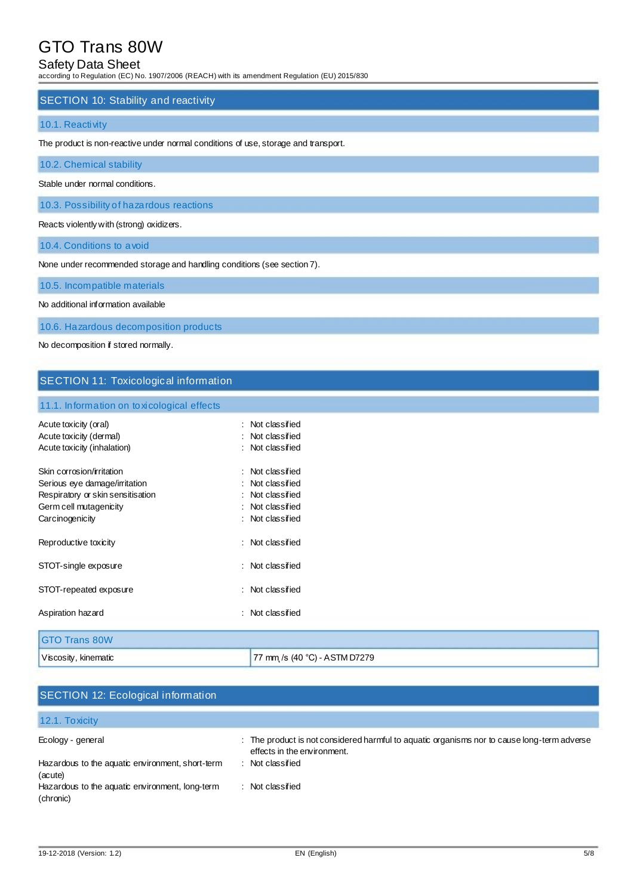## Safety Data Sheet

according to Regulation (EC) No. 1907/2006 (REACH) with its amendment Regulation (EU) 2015/830

### SECTION 10: Stability and reactivity

### 10.1. Reactivity

The product is non-reactive under normal conditions of use, storage and transport.

10.2. Chemical stability

Stable under normal conditions.

10.3. Possibility of hazardous reactions

Reacts violently with (strong) oxidizers.

10.4. Conditions to avoid

None under recommended storage and handling conditions (see section 7).

10.5. Incompatible materials

No additional information available

10.6. Hazardous decomposition products

No decomposition if stored normally.

## SECTION 11: Toxicological information

11.1. Information on toxicological effects

| Acute toxicity (oral)<br>Acute toxicity (dermal)<br>Acute toxicity (inhalation)                                                              | : Not classified<br>: Not classified<br>: Not classified                                     |
|----------------------------------------------------------------------------------------------------------------------------------------------|----------------------------------------------------------------------------------------------|
| Skin corrosion/irritation<br>Serious eye damage/irritation<br>Respiratory or skin sensitisation<br>Germ cell mutagenicity<br>Carcinogenicity | : Not classified<br>Not classified<br>Not classified<br>: Not classified<br>: Not classified |
| Reproductive toxicity                                                                                                                        | : Not classified                                                                             |
| STOT-single exposure                                                                                                                         | : Not classified                                                                             |
| STOT-repeated exposure                                                                                                                       | : Not classified                                                                             |
| Aspiration hazard                                                                                                                            | : Not classified                                                                             |
| <b>GTO Trans 80W</b>                                                                                                                         |                                                                                              |
| Viscosity, kinematic                                                                                                                         | 77 mm /s (40 °C) - ASTM D7279                                                                |

| <b>SECTION 12: Ecological information</b>                    |                                                                                                                            |
|--------------------------------------------------------------|----------------------------------------------------------------------------------------------------------------------------|
| 12.1. To xicity                                              |                                                                                                                            |
| Ecology - general                                            | : The product is not considered harmful to aquatic organisms nor to cause long-term adverse<br>effects in the environment. |
| Hazardous to the aquatic environment, short-term<br>(acute)  | Not classified<br>٠.                                                                                                       |
| Hazardous to the aquatic environment, long-term<br>(chronic) | Not classified                                                                                                             |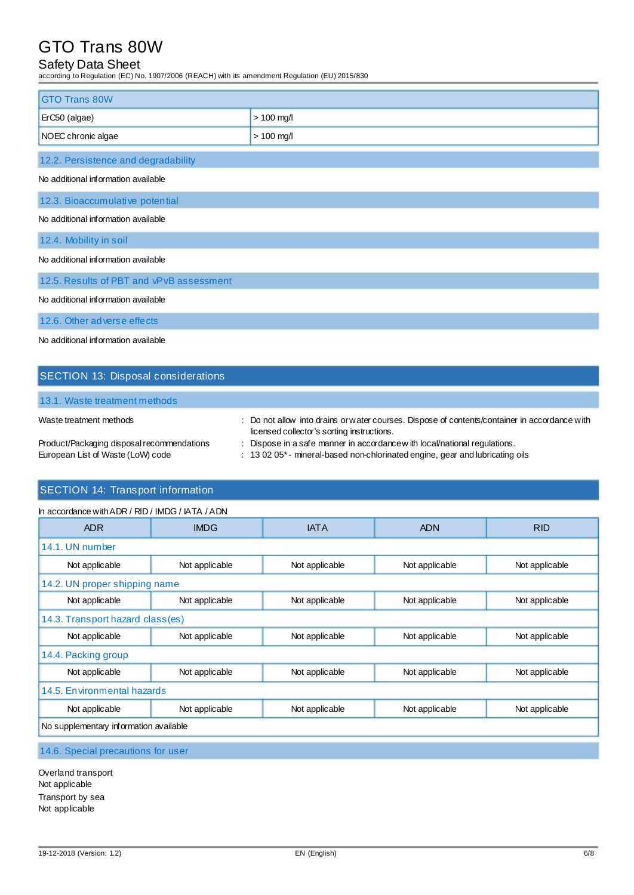## Safety Data Sheet

according to Regulation (EC) No. 1907/2006 (REACH) with its amendment Regulation (EU) 2015/830

| <b>GTO Trans 80W</b>                     |              |  |
|------------------------------------------|--------------|--|
|                                          |              |  |
| ErC50 (algae)                            | $> 100$ mg/l |  |
| NOEC chronic algae                       | $> 100$ mg/l |  |
| 12.2. Persistence and degradability      |              |  |
| No additional information available      |              |  |
| 12.3. Bioaccumulative potential          |              |  |
| No additional information available      |              |  |
| 12.4. Mobility in soil                   |              |  |
| No additional information available      |              |  |
| 12.5. Results of PBT and vPvB assessment |              |  |
| No additional information available      |              |  |
| 12.6. Other adverse effects              |              |  |
| No additional information available      |              |  |

## SECTION 13: Disposal considerations

### 13.1. Waste treatment methods

|  | Waste treatment methods |  |
|--|-------------------------|--|
|--|-------------------------|--|

- : Do not allow into drains or water courses. Dispose of contents/container in accordance with licensed collector's sorting instructions. Product/Packaging disposal recommendations : Dispose in a safe manner in accordance w ith local/national regulations.
- European List of Waste (LoW) code : 13 02 05\* mineral-based non-chlorinated engine, gear and lubricating oils

## SECTION 14: Transport information

| In accordance with ADR / RID / IMDG / IATA / ADN |                |                |                |                |
|--------------------------------------------------|----------------|----------------|----------------|----------------|
| <b>ADR</b>                                       | <b>IMDG</b>    | <b>IATA</b>    | <b>ADN</b>     | <b>RID</b>     |
| 14.1. UN number                                  |                |                |                |                |
| Not applicable                                   | Not applicable | Not applicable | Not applicable | Not applicable |
| 14.2. UN proper shipping name                    |                |                |                |                |
| Not applicable                                   | Not applicable | Not applicable | Not applicable | Not applicable |
| 14.3. Transport hazard class(es)                 |                |                |                |                |
| Not applicable                                   | Not applicable | Not applicable | Not applicable | Not applicable |
| 14.4. Packing group                              |                |                |                |                |
| Not applicable                                   | Not applicable | Not applicable | Not applicable | Not applicable |
| 14.5. Environmental hazards                      |                |                |                |                |
| Not applicable                                   | Not applicable | Not applicable | Not applicable | Not applicable |
| No supplementary information available           |                |                |                |                |

### 14.6. Special precautions for user

Overland transport Not applicable Transport by sea Not applicable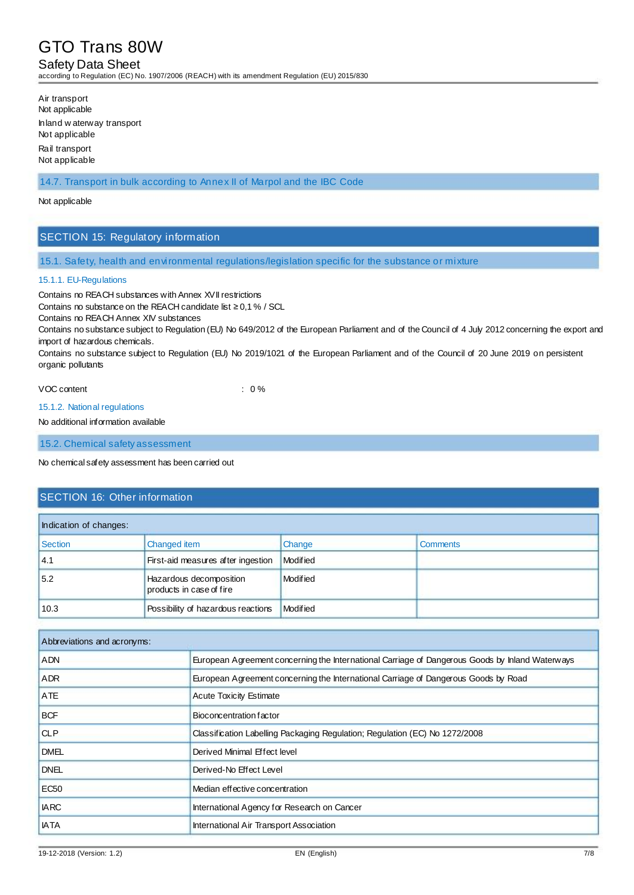## Safety Data Sheet

according to Regulation (EC) No. 1907/2006 (REACH) with its amendment Regulation (EU) 2015/830

Air transport Not applicable Inland w aterway transport Not applicable Rail transport Not applicable

14.7. Transport in bulk according to Annex II of Marpol and the IBC Code

### Not applicable

### SECTION 15: Regulatory information

15.1. Safety, health and environmental regulations/legislation specific for the substance or mixture

### 15.1.1. EU-Regulations

Contains no REACH substances with Annex XVII restrictions

Contains no substance on the REACH candidate list  $\geq$  0,1 % / SCL

Contains no REACH Annex XIV substances

Contains no substance subject to Regulation (EU) No 649/2012 of the European Parliament and of the Council of 4 July 2012 concerning the export and import of hazardous chemicals.

Contains no substance subject to Regulation (EU) No 2019/1021 of the European Parliament and of the Council of 20 June 2019 on persistent organic pollutants

#### VOC content  $\sim$  0 %

#### 15.1.2. National regulations

No additional information available

15.2. Chemical safety assessment

No chemical safety assessment has been carried out

### SECTION 16: Other information

| Indication of changes: |                                                     |          |                 |
|------------------------|-----------------------------------------------------|----------|-----------------|
| Section                | Changed item                                        | Change   | <b>Comments</b> |
| 4.1                    | First-aid measures after ingestion                  | Modified |                 |
| 5.2                    | Hazardous decomposition<br>products in case of fire | Modified |                 |
| 10.3                   | Possibility of hazardous reactions                  | Modified |                 |

| Abbreviations and acronyms: |                                                                                                 |
|-----------------------------|-------------------------------------------------------------------------------------------------|
| <b>ADN</b>                  | European Agreement concerning the International Carriage of Dangerous Goods by Inland Waterways |
| <b>ADR</b>                  | European Agreement concerning the International Carriage of Dangerous Goods by Road             |
| <b>ATE</b>                  | <b>Acute Toxicity Estimate</b>                                                                  |
| <b>BCF</b>                  | Bioconcentration factor                                                                         |
| <b>CLP</b>                  | Classification Labelling Packaging Regulation; Regulation (EC) No 1272/2008                     |
| <b>DMEL</b>                 | Derived Minimal Effect level                                                                    |
| <b>DNEL</b>                 | Derived-No Effect Level                                                                         |
| EC <sub>50</sub>            | Median effective concentration                                                                  |
| <b>IARC</b>                 | International Agency for Research on Cancer                                                     |
| <b>IATA</b>                 | International Air Transport Association                                                         |